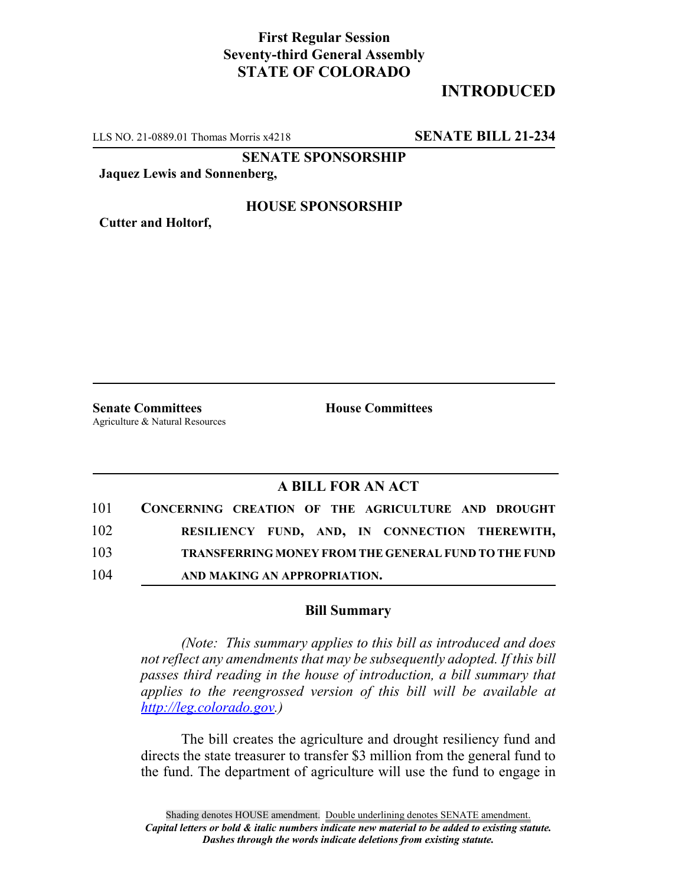## **First Regular Session Seventy-third General Assembly STATE OF COLORADO**

# **INTRODUCED**

LLS NO. 21-0889.01 Thomas Morris x4218 **SENATE BILL 21-234**

**SENATE SPONSORSHIP**

**Jaquez Lewis and Sonnenberg,**

#### **HOUSE SPONSORSHIP**

**Cutter and Holtorf,**

**Senate Committees House Committees** Agriculture & Natural Resources

### **A BILL FOR AN ACT**

| 101 | CONCERNING CREATION OF THE AGRICULTURE AND DROUGHT          |
|-----|-------------------------------------------------------------|
| 102 | RESILIENCY FUND, AND, IN CONNECTION THEREWITH,              |
| 103 | <b>TRANSFERRING MONEY FROM THE GENERAL FUND TO THE FUND</b> |
| 104 | AND MAKING AN APPROPRIATION.                                |

#### **Bill Summary**

*(Note: This summary applies to this bill as introduced and does not reflect any amendments that may be subsequently adopted. If this bill passes third reading in the house of introduction, a bill summary that applies to the reengrossed version of this bill will be available at http://leg.colorado.gov.)*

The bill creates the agriculture and drought resiliency fund and directs the state treasurer to transfer \$3 million from the general fund to the fund. The department of agriculture will use the fund to engage in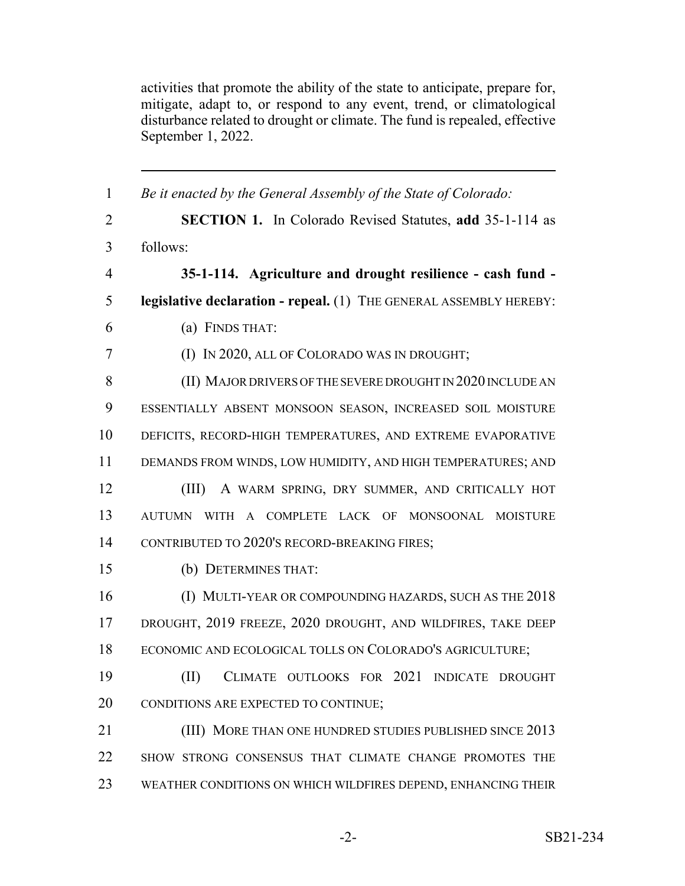activities that promote the ability of the state to anticipate, prepare for, mitigate, adapt to, or respond to any event, trend, or climatological disturbance related to drought or climate. The fund is repealed, effective September 1, 2022.

| $\mathbf{1}$   | Be it enacted by the General Assembly of the State of Colorado:    |
|----------------|--------------------------------------------------------------------|
| $\overline{2}$ | <b>SECTION 1.</b> In Colorado Revised Statutes, add 35-1-114 as    |
| 3              | follows:                                                           |
| $\overline{4}$ | 35-1-114. Agriculture and drought resilience - cash fund -         |
| 5              | legislative declaration - repeal. (1) THE GENERAL ASSEMBLY HEREBY: |
| 6              | (a) FINDS THAT:                                                    |
| $\tau$         | (I) IN 2020, ALL OF COLORADO WAS IN DROUGHT;                       |
| 8              | (II) MAJOR DRIVERS OF THE SEVERE DROUGHT IN 2020 INCLUDE AN        |
| 9              | ESSENTIALLY ABSENT MONSOON SEASON, INCREASED SOIL MOISTURE         |
| 10             | DEFICITS, RECORD-HIGH TEMPERATURES, AND EXTREME EVAPORATIVE        |
| 11             | DEMANDS FROM WINDS, LOW HUMIDITY, AND HIGH TEMPERATURES; AND       |
| 12             | (III)<br>A WARM SPRING, DRY SUMMER, AND CRITICALLY HOT             |
| 13             | AUTUMN WITH A COMPLETE LACK OF MONSOONAL MOISTURE                  |
| 14             | CONTRIBUTED TO 2020'S RECORD-BREAKING FIRES;                       |
| 15             | (b) DETERMINES THAT:                                               |
| 16             | (I) MULTI-YEAR OR COMPOUNDING HAZARDS, SUCH AS THE 2018            |
| 17             | DROUGHT, 2019 FREEZE, 2020 DROUGHT, AND WILDFIRES, TAKE DEEP       |
| 18             | ECONOMIC AND ECOLOGICAL TOLLS ON COLORADO'S AGRICULTURE;           |
| 19             | CLIMATE OUTLOOKS FOR 2021 INDICATE DROUGHT<br>(II)                 |
| 20             | CONDITIONS ARE EXPECTED TO CONTINUE;                               |
| 21             | (III) MORE THAN ONE HUNDRED STUDIES PUBLISHED SINCE 2013           |
| 22             | SHOW STRONG CONSENSUS THAT CLIMATE CHANGE PROMOTES THE             |
| 23             | WEATHER CONDITIONS ON WHICH WILDFIRES DEPEND, ENHANCING THEIR      |
|                |                                                                    |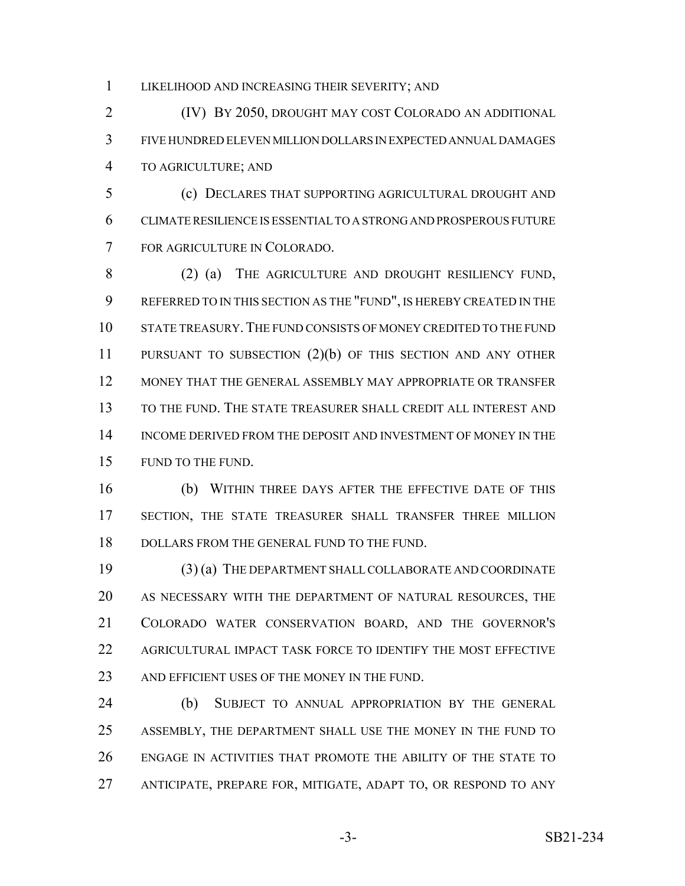LIKELIHOOD AND INCREASING THEIR SEVERITY; AND

 (IV) BY 2050, DROUGHT MAY COST COLORADO AN ADDITIONAL FIVE HUNDRED ELEVEN MILLION DOLLARS IN EXPECTED ANNUAL DAMAGES TO AGRICULTURE; AND

 (c) DECLARES THAT SUPPORTING AGRICULTURAL DROUGHT AND CLIMATE RESILIENCE IS ESSENTIAL TO A STRONG AND PROSPEROUS FUTURE FOR AGRICULTURE IN COLORADO.

 (2) (a) THE AGRICULTURE AND DROUGHT RESILIENCY FUND, REFERRED TO IN THIS SECTION AS THE "FUND", IS HEREBY CREATED IN THE STATE TREASURY.THE FUND CONSISTS OF MONEY CREDITED TO THE FUND PURSUANT TO SUBSECTION (2)(b) OF THIS SECTION AND ANY OTHER MONEY THAT THE GENERAL ASSEMBLY MAY APPROPRIATE OR TRANSFER TO THE FUND. THE STATE TREASURER SHALL CREDIT ALL INTEREST AND INCOME DERIVED FROM THE DEPOSIT AND INVESTMENT OF MONEY IN THE FUND TO THE FUND.

 (b) WITHIN THREE DAYS AFTER THE EFFECTIVE DATE OF THIS SECTION, THE STATE TREASURER SHALL TRANSFER THREE MILLION 18 DOLLARS FROM THE GENERAL FUND TO THE FUND.

 (3) (a) THE DEPARTMENT SHALL COLLABORATE AND COORDINATE AS NECESSARY WITH THE DEPARTMENT OF NATURAL RESOURCES, THE COLORADO WATER CONSERVATION BOARD, AND THE GOVERNOR'S AGRICULTURAL IMPACT TASK FORCE TO IDENTIFY THE MOST EFFECTIVE 23 AND EFFICIENT USES OF THE MONEY IN THE FUND.

 (b) SUBJECT TO ANNUAL APPROPRIATION BY THE GENERAL ASSEMBLY, THE DEPARTMENT SHALL USE THE MONEY IN THE FUND TO ENGAGE IN ACTIVITIES THAT PROMOTE THE ABILITY OF THE STATE TO ANTICIPATE, PREPARE FOR, MITIGATE, ADAPT TO, OR RESPOND TO ANY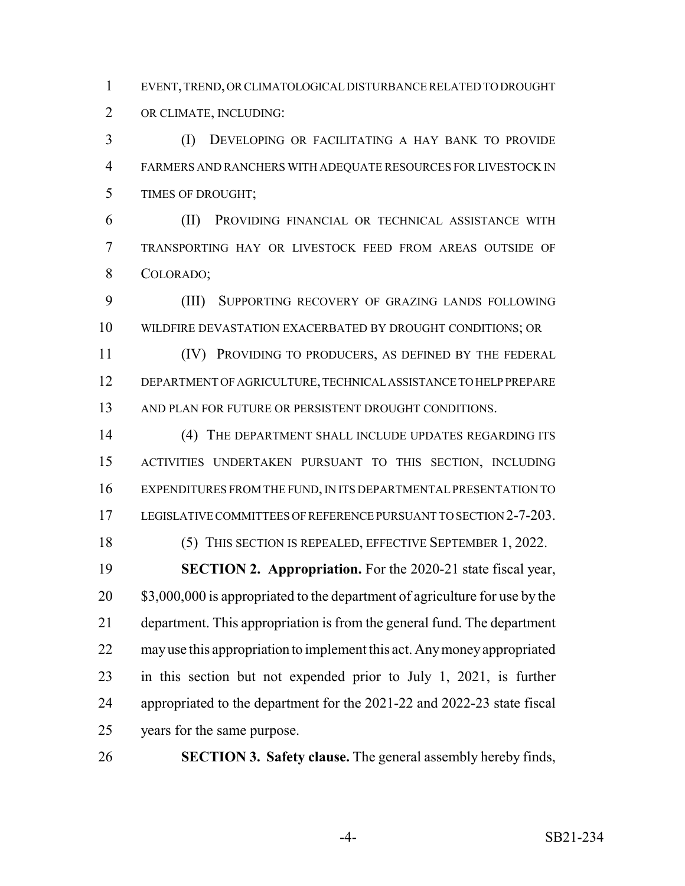EVENT, TREND, OR CLIMATOLOGICAL DISTURBANCE RELATED TO DROUGHT OR CLIMATE, INCLUDING:

 (I) DEVELOPING OR FACILITATING A HAY BANK TO PROVIDE FARMERS AND RANCHERS WITH ADEQUATE RESOURCES FOR LIVESTOCK IN TIMES OF DROUGHT;

 (II) PROVIDING FINANCIAL OR TECHNICAL ASSISTANCE WITH TRANSPORTING HAY OR LIVESTOCK FEED FROM AREAS OUTSIDE OF COLORADO;

 (III) SUPPORTING RECOVERY OF GRAZING LANDS FOLLOWING WILDFIRE DEVASTATION EXACERBATED BY DROUGHT CONDITIONS; OR

 (IV) PROVIDING TO PRODUCERS, AS DEFINED BY THE FEDERAL DEPARTMENT OF AGRICULTURE, TECHNICAL ASSISTANCE TO HELP PREPARE 13 AND PLAN FOR FUTURE OR PERSISTENT DROUGHT CONDITIONS.

 (4) THE DEPARTMENT SHALL INCLUDE UPDATES REGARDING ITS ACTIVITIES UNDERTAKEN PURSUANT TO THIS SECTION, INCLUDING EXPENDITURES FROM THE FUND, IN ITS DEPARTMENTAL PRESENTATION TO 17 LEGISLATIVE COMMITTEES OF REFERENCE PURSUANT TO SECTION 2-7-203.

(5) THIS SECTION IS REPEALED, EFFECTIVE SEPTEMBER 1, 2022.

 **SECTION 2. Appropriation.** For the 2020-21 state fiscal year, 20 \$3,000,000 is appropriated to the department of agriculture for use by the department. This appropriation is from the general fund. The department may use this appropriation to implement this act. Any money appropriated in this section but not expended prior to July 1, 2021, is further appropriated to the department for the 2021-22 and 2022-23 state fiscal years for the same purpose.

**SECTION 3. Safety clause.** The general assembly hereby finds,